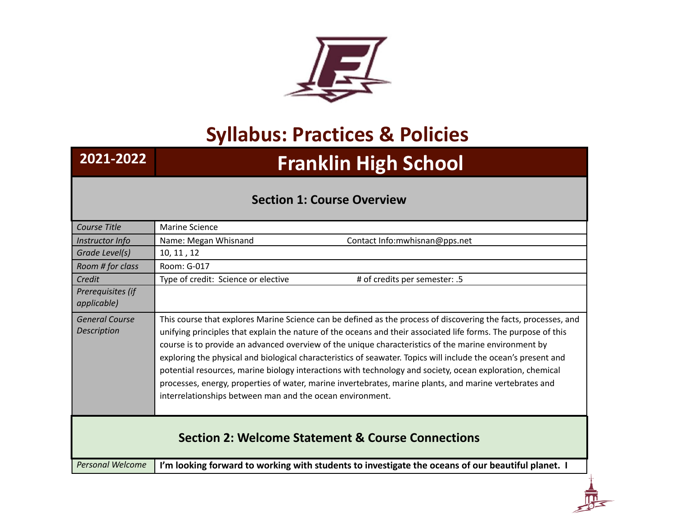

## **Syllabus: Practices & Policies**

## **2021-2022 Franklin High School**

## **Section 1: Course Overview**

| Course Title                                                 | Marine Science                                                                                                                                                                                                                                                                                                                                                                                                                                                                                                                                                                                                                                                                                                                                   |
|--------------------------------------------------------------|--------------------------------------------------------------------------------------------------------------------------------------------------------------------------------------------------------------------------------------------------------------------------------------------------------------------------------------------------------------------------------------------------------------------------------------------------------------------------------------------------------------------------------------------------------------------------------------------------------------------------------------------------------------------------------------------------------------------------------------------------|
| Instructor Info                                              | Name: Megan Whisnand<br>Contact Info: mwhisnan@pps.net                                                                                                                                                                                                                                                                                                                                                                                                                                                                                                                                                                                                                                                                                           |
| Grade Level(s)                                               | 10, 11, 12                                                                                                                                                                                                                                                                                                                                                                                                                                                                                                                                                                                                                                                                                                                                       |
| Room # for class                                             | Room: G-017                                                                                                                                                                                                                                                                                                                                                                                                                                                                                                                                                                                                                                                                                                                                      |
| Credit                                                       | Type of credit: Science or elective<br># of credits per semester: .5                                                                                                                                                                                                                                                                                                                                                                                                                                                                                                                                                                                                                                                                             |
| Prerequisites (if<br><i>applicable</i> )                     |                                                                                                                                                                                                                                                                                                                                                                                                                                                                                                                                                                                                                                                                                                                                                  |
| <b>General Course</b><br><b>Description</b>                  | This course that explores Marine Science can be defined as the process of discovering the facts, processes, and<br>unifying principles that explain the nature of the oceans and their associated life forms. The purpose of this<br>course is to provide an advanced overview of the unique characteristics of the marine environment by<br>exploring the physical and biological characteristics of seawater. Topics will include the ocean's present and<br>potential resources, marine biology interactions with technology and society, ocean exploration, chemical<br>processes, energy, properties of water, marine invertebrates, marine plants, and marine vertebrates and<br>interrelationships between man and the ocean environment. |
| <b>Section 2: Welcome Statement &amp; Course Connections</b> |                                                                                                                                                                                                                                                                                                                                                                                                                                                                                                                                                                                                                                                                                                                                                  |
| <b>Personal Welcome</b>                                      | I'm looking forward to working with students to investigate the oceans of our beautiful planet. I                                                                                                                                                                                                                                                                                                                                                                                                                                                                                                                                                                                                                                                |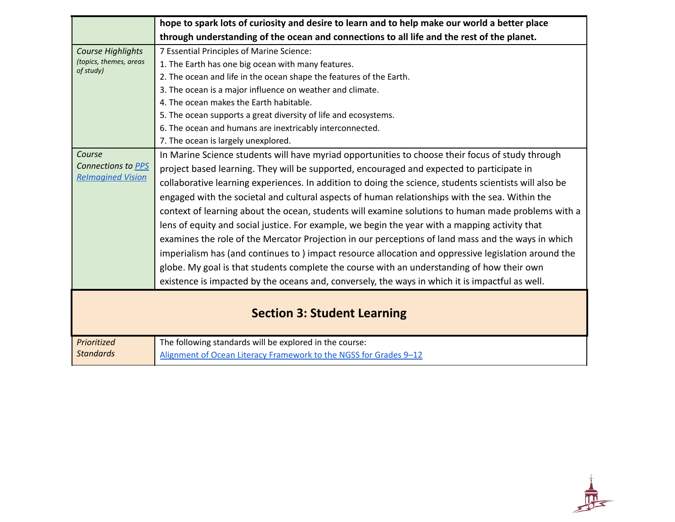|                          | hope to spark lots of curiosity and desire to learn and to help make our world a better place          |
|--------------------------|--------------------------------------------------------------------------------------------------------|
|                          | through understanding of the ocean and connections to all life and the rest of the planet.             |
| <b>Course Highlights</b> | 7 Essential Principles of Marine Science:                                                              |
| (topics, themes, areas   | 1. The Earth has one big ocean with many features.                                                     |
| of study)                | 2. The ocean and life in the ocean shape the features of the Earth.                                    |
|                          | 3. The ocean is a major influence on weather and climate.                                              |
|                          | 4. The ocean makes the Earth habitable.                                                                |
|                          | 5. The ocean supports a great diversity of life and ecosystems.                                        |
|                          | 6. The ocean and humans are inextricably interconnected.                                               |
|                          | 7. The ocean is largely unexplored.                                                                    |
| Course                   | In Marine Science students will have myriad opportunities to choose their focus of study through       |
| Connections to PPS       | project based learning. They will be supported, encouraged and expected to participate in              |
| <b>Relmagined Vision</b> | collaborative learning experiences. In addition to doing the science, students scientists will also be |
|                          | engaged with the societal and cultural aspects of human relationships with the sea. Within the         |
|                          | context of learning about the ocean, students will examine solutions to human made problems with a     |
|                          | lens of equity and social justice. For example, we begin the year with a mapping activity that         |
|                          | examines the role of the Mercator Projection in our perceptions of land mass and the ways in which     |
|                          | imperialism has (and continues to) impact resource allocation and oppressive legislation around the    |
|                          | globe. My goal is that students complete the course with an understanding of how their own             |
|                          | existence is impacted by the oceans and, conversely, the ways in which it is impactful as well.        |
|                          |                                                                                                        |
|                          |                                                                                                        |
|                          | <b>Section 3: Student Learning</b>                                                                     |
| Prioritized              | The following standards will be explored in the course:                                                |
| <b>Standards</b>         | Alignment of Ocean Literacy Framework to the NGSS for Grades 9-12                                      |

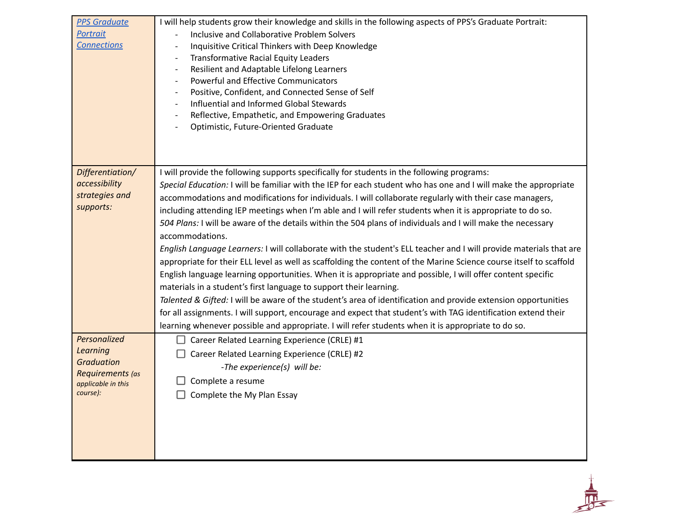| <b>PPS Graduate</b> | I will help students grow their knowledge and skills in the following aspects of PPS's Graduate Portrait:          |
|---------------------|--------------------------------------------------------------------------------------------------------------------|
| <b>Portrait</b>     | Inclusive and Collaborative Problem Solvers                                                                        |
| <b>Connections</b>  | Inquisitive Critical Thinkers with Deep Knowledge                                                                  |
|                     | <b>Transformative Racial Equity Leaders</b><br>$\overline{\phantom{a}}$                                            |
|                     | Resilient and Adaptable Lifelong Learners                                                                          |
|                     | Powerful and Effective Communicators                                                                               |
|                     | Positive, Confident, and Connected Sense of Self                                                                   |
|                     | Influential and Informed Global Stewards                                                                           |
|                     | Reflective, Empathetic, and Empowering Graduates                                                                   |
|                     | Optimistic, Future-Oriented Graduate                                                                               |
|                     |                                                                                                                    |
|                     |                                                                                                                    |
|                     |                                                                                                                    |
| Differentiation/    | I will provide the following supports specifically for students in the following programs:                         |
| accessibility       | Special Education: I will be familiar with the IEP for each student who has one and I will make the appropriate    |
| strategies and      | accommodations and modifications for individuals. I will collaborate regularly with their case managers,           |
| supports:           | including attending IEP meetings when I'm able and I will refer students when it is appropriate to do so.          |
|                     | 504 Plans: I will be aware of the details within the 504 plans of individuals and I will make the necessary        |
|                     | accommodations.                                                                                                    |
|                     | English Language Learners: I will collaborate with the student's ELL teacher and I will provide materials that are |
|                     |                                                                                                                    |
|                     | appropriate for their ELL level as well as scaffolding the content of the Marine Science course itself to scaffold |
|                     | English language learning opportunities. When it is appropriate and possible, I will offer content specific        |
|                     | materials in a student's first language to support their learning.                                                 |
|                     | Talented & Gifted: I will be aware of the student's area of identification and provide extension opportunities     |
|                     | for all assignments. I will support, encourage and expect that student's with TAG identification extend their      |
|                     | learning whenever possible and appropriate. I will refer students when it is appropriate to do so.                 |
| Personalized        | Career Related Learning Experience (CRLE) #1                                                                       |
| <b>Learning</b>     | Career Related Learning Experience (CRLE) #2                                                                       |
| <b>Graduation</b>   | -The experience(s) will be:                                                                                        |
| Requirements (as    |                                                                                                                    |
| applicable in this  | Complete a resume                                                                                                  |
| course):            | Complete the My Plan Essay                                                                                         |
|                     |                                                                                                                    |
|                     |                                                                                                                    |
|                     |                                                                                                                    |
|                     |                                                                                                                    |
|                     |                                                                                                                    |

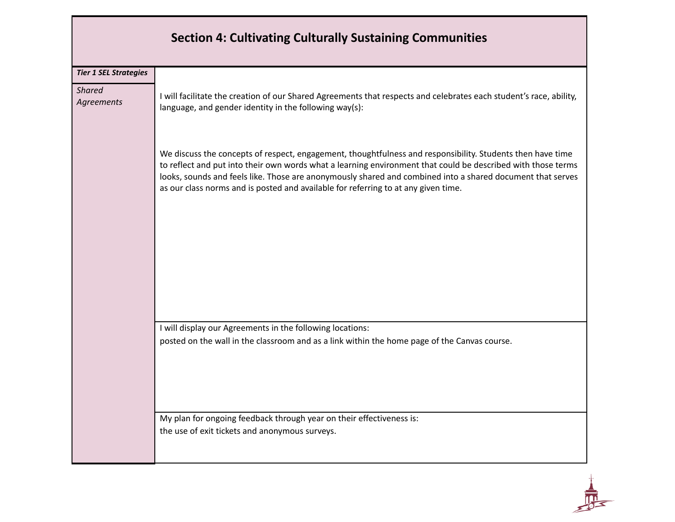|                              | <b>Section 4: Cultivating Culturally Sustaining Communities</b>                                                                                                                                                                                                                                                                                                                                                                |
|------------------------------|--------------------------------------------------------------------------------------------------------------------------------------------------------------------------------------------------------------------------------------------------------------------------------------------------------------------------------------------------------------------------------------------------------------------------------|
| <b>Tier 1 SEL Strategies</b> |                                                                                                                                                                                                                                                                                                                                                                                                                                |
| <b>Shared</b><br>Agreements  | I will facilitate the creation of our Shared Agreements that respects and celebrates each student's race, ability,<br>language, and gender identity in the following way(s):                                                                                                                                                                                                                                                   |
|                              | We discuss the concepts of respect, engagement, thoughtfulness and responsibility. Students then have time<br>to reflect and put into their own words what a learning environment that could be described with those terms<br>looks, sounds and feels like. Those are anonymously shared and combined into a shared document that serves<br>as our class norms and is posted and available for referring to at any given time. |
|                              |                                                                                                                                                                                                                                                                                                                                                                                                                                |
|                              | I will display our Agreements in the following locations:                                                                                                                                                                                                                                                                                                                                                                      |
|                              | posted on the wall in the classroom and as a link within the home page of the Canvas course.                                                                                                                                                                                                                                                                                                                                   |
|                              | My plan for ongoing feedback through year on their effectiveness is:<br>the use of exit tickets and anonymous surveys.                                                                                                                                                                                                                                                                                                         |

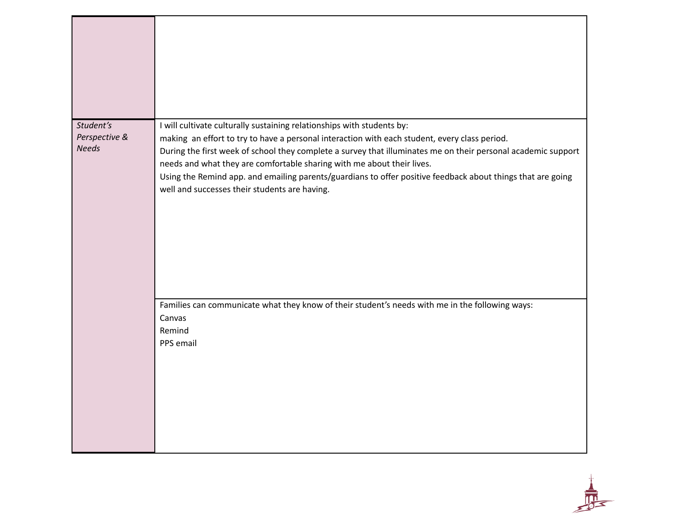| Student's<br>Perspective &<br><b>Needs</b> | I will cultivate culturally sustaining relationships with students by:<br>making an effort to try to have a personal interaction with each student, every class period.<br>During the first week of school they complete a survey that illuminates me on their personal academic support<br>needs and what they are comfortable sharing with me about their lives.<br>Using the Remind app. and emailing parents/guardians to offer positive feedback about things that are going<br>well and successes their students are having. |
|--------------------------------------------|------------------------------------------------------------------------------------------------------------------------------------------------------------------------------------------------------------------------------------------------------------------------------------------------------------------------------------------------------------------------------------------------------------------------------------------------------------------------------------------------------------------------------------|
|                                            | Families can communicate what they know of their student's needs with me in the following ways:<br>Canvas<br>Remind<br>PPS email                                                                                                                                                                                                                                                                                                                                                                                                   |

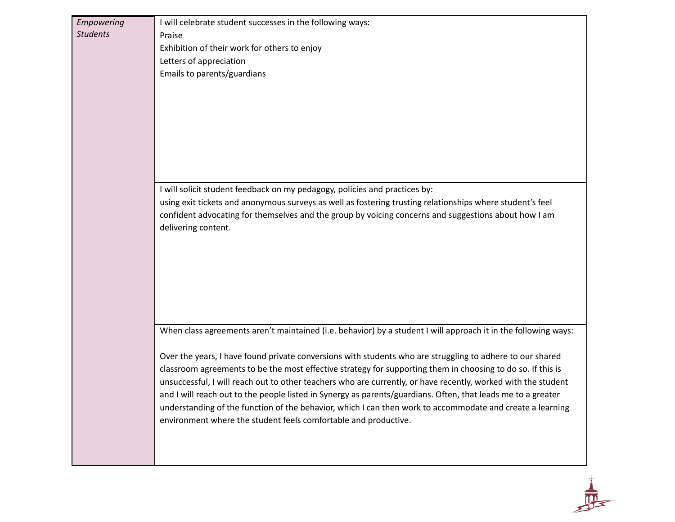| Empowering      | I will celebrate student successes in the following ways:                                                                                                                    |
|-----------------|------------------------------------------------------------------------------------------------------------------------------------------------------------------------------|
| <b>Students</b> | Praise                                                                                                                                                                       |
|                 | Exhibition of their work for others to enjoy                                                                                                                                 |
|                 | Letters of appreciation                                                                                                                                                      |
|                 | Emails to parents/guardians                                                                                                                                                  |
|                 |                                                                                                                                                                              |
|                 |                                                                                                                                                                              |
|                 |                                                                                                                                                                              |
|                 |                                                                                                                                                                              |
|                 |                                                                                                                                                                              |
|                 |                                                                                                                                                                              |
|                 |                                                                                                                                                                              |
|                 |                                                                                                                                                                              |
|                 | I will solicit student feedback on my pedagogy, policies and practices by:                                                                                                   |
|                 | using exit tickets and anonymous surveys as well as fostering trusting relationships where student's feel                                                                    |
|                 | confident advocating for themselves and the group by voicing concerns and suggestions about how I am<br>delivering content.                                                  |
|                 |                                                                                                                                                                              |
|                 |                                                                                                                                                                              |
|                 |                                                                                                                                                                              |
|                 |                                                                                                                                                                              |
|                 |                                                                                                                                                                              |
|                 |                                                                                                                                                                              |
|                 |                                                                                                                                                                              |
|                 | When class agreements aren't maintained (i.e. behavior) by a student I will approach it in the following ways:                                                               |
|                 | Over the years, I have found private conversions with students who are struggling to adhere to our shared                                                                    |
|                 | classroom agreements to be the most effective strategy for supporting them in choosing to do so. If this is                                                                  |
|                 | unsuccessful, I will reach out to other teachers who are currently, or have recently, worked with the student                                                                |
|                 | and I will reach out to the people listed in Synergy as parents/guardians. Often, that leads me to a greater                                                                 |
|                 | understanding of the function of the behavior, which I can then work to accommodate and create a learning<br>environment where the student feels comfortable and productive. |
|                 |                                                                                                                                                                              |
|                 |                                                                                                                                                                              |
|                 |                                                                                                                                                                              |
|                 |                                                                                                                                                                              |

 $\frac{1}{\sqrt{1+\frac{1}{2}}}\frac{1}{\sqrt{1+\frac{1}{2}}}\left( \frac{1}{\sqrt{1+\frac{1}{2}}}\right)$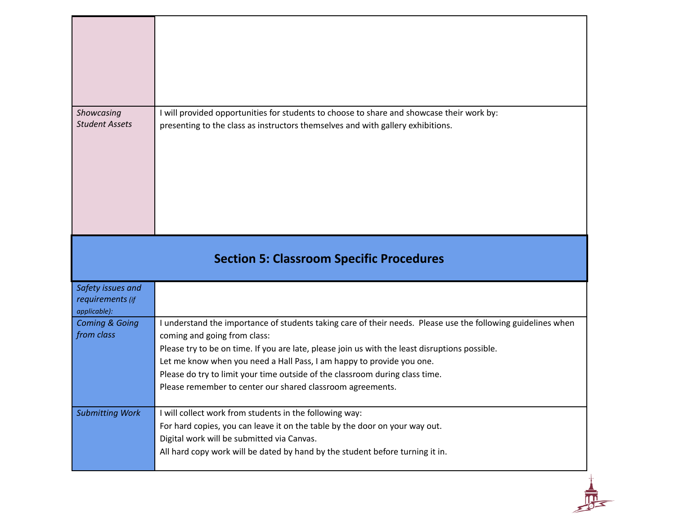| Showcasing<br><b>Student Assets</b>     | I will provided opportunities for students to choose to share and showcase their work by:<br>presenting to the class as instructors themselves and with gallery exhibitions.                                                                                                                                                                                                                                                                                          |
|-----------------------------------------|-----------------------------------------------------------------------------------------------------------------------------------------------------------------------------------------------------------------------------------------------------------------------------------------------------------------------------------------------------------------------------------------------------------------------------------------------------------------------|
| Safety issues and                       | <b>Section 5: Classroom Specific Procedures</b>                                                                                                                                                                                                                                                                                                                                                                                                                       |
| requirements (if<br>applicable):        |                                                                                                                                                                                                                                                                                                                                                                                                                                                                       |
| <b>Coming &amp; Going</b><br>from class | I understand the importance of students taking care of their needs. Please use the following guidelines when<br>coming and going from class:<br>Please try to be on time. If you are late, please join us with the least disruptions possible.<br>Let me know when you need a Hall Pass, I am happy to provide you one.<br>Please do try to limit your time outside of the classroom during class time.<br>Please remember to center our shared classroom agreements. |
|                                         |                                                                                                                                                                                                                                                                                                                                                                                                                                                                       |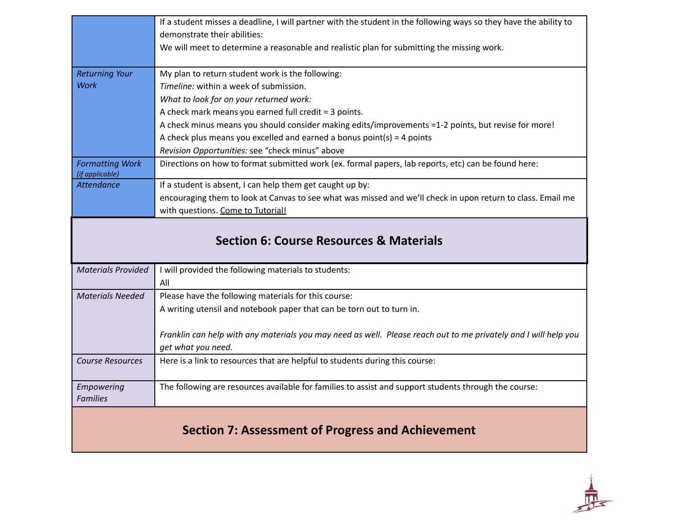|                                           | If a student misses a deadline, I will partner with the student in the following ways so they have the ability to |
|-------------------------------------------|-------------------------------------------------------------------------------------------------------------------|
|                                           | demonstrate their abilities:                                                                                      |
|                                           | We will meet to determine a reasonable and realistic plan for submitting the missing work.                        |
|                                           |                                                                                                                   |
| <b>Returning Your</b>                     | My plan to return student work is the following:                                                                  |
| <b>Work</b>                               | Timeline: within a week of submission.                                                                            |
|                                           | What to look for on your returned work:                                                                           |
|                                           | A check mark means you earned full credit = 3 points.                                                             |
|                                           | A check minus means you should consider making edits/improvements =1-2 points, but revise for more!               |
|                                           | A check plus means you excelled and earned a bonus point(s) = $4$ points                                          |
|                                           | Revision Opportunities: see "check minus" above                                                                   |
| <b>Formatting Work</b><br>(if applicable) | Directions on how to format submitted work (ex. formal papers, lab reports, etc) can be found here:               |
| <b>Attendance</b>                         | If a student is absent, I can help them get caught up by:                                                         |
|                                           | encouraging them to look at Canvas to see what was missed and we'll check in upon return to class. Email me       |
|                                           | with questions. Come to Tutorial!                                                                                 |
|                                           |                                                                                                                   |
|                                           | <b>Section 6: Course Resources &amp; Materials</b>                                                                |
| <b>Materials Provided</b>                 | I will provided the following materials to students:                                                              |
|                                           | All                                                                                                               |
| <b>Materials Needed</b>                   | Please have the following materials for this course:                                                              |
|                                           | A writing utensil and notebook paper that can be torn out to turn in.                                             |
|                                           |                                                                                                                   |
|                                           | Franklin can help with any materials you may need as well. Please reach out to me privately and I will help you   |
|                                           | get what you need.                                                                                                |
| <b>Course Resources</b>                   | Here is a link to resources that are helpful to students during this course:                                      |
|                                           |                                                                                                                   |
| Empowering                                | The following are resources available for families to assist and support students through the course:             |
| <b>Families</b>                           |                                                                                                                   |
|                                           |                                                                                                                   |
|                                           | <b>Section 7: Assessment of Progress and Achievement</b>                                                          |

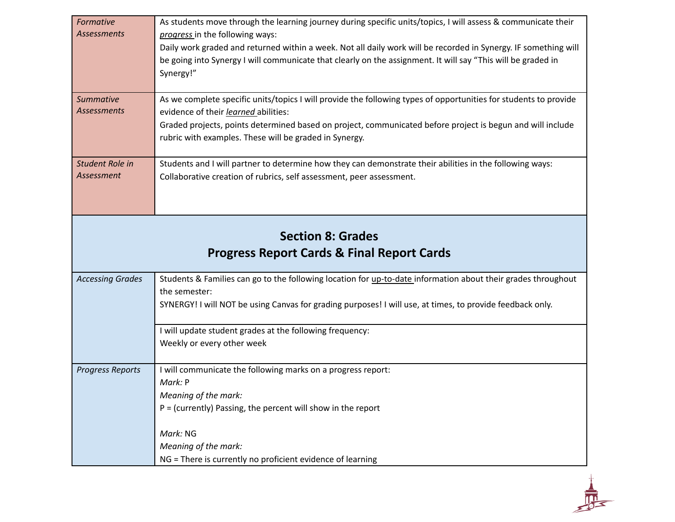| Formative<br><b>Assessments</b>                       | As students move through the learning journey during specific units/topics, I will assess & communicate their<br>progress in the following ways:                                 |
|-------------------------------------------------------|----------------------------------------------------------------------------------------------------------------------------------------------------------------------------------|
|                                                       | Daily work graded and returned within a week. Not all daily work will be recorded in Synergy. IF something will                                                                  |
|                                                       | be going into Synergy I will communicate that clearly on the assignment. It will say "This will be graded in<br>Synergy!"                                                        |
| <b>Summative</b><br><b>Assessments</b>                | As we complete specific units/topics I will provide the following types of opportunities for students to provide<br>evidence of their learned abilities:                         |
|                                                       | Graded projects, points determined based on project, communicated before project is begun and will include                                                                       |
|                                                       | rubric with examples. These will be graded in Synergy.                                                                                                                           |
| Student Role in<br>Assessment                         | Students and I will partner to determine how they can demonstrate their abilities in the following ways:<br>Collaborative creation of rubrics, self assessment, peer assessment. |
|                                                       |                                                                                                                                                                                  |
|                                                       |                                                                                                                                                                                  |
| <b>Section 8: Grades</b>                              |                                                                                                                                                                                  |
| <b>Progress Report Cards &amp; Final Report Cards</b> |                                                                                                                                                                                  |
| <b>Accessing Grades</b>                               | Students & Families can go to the following location for up-to-date information about their grades throughout<br>the semester:                                                   |
|                                                       | SYNERGY! I will NOT be using Canvas for grading purposes! I will use, at times, to provide feedback only.                                                                        |
|                                                       | I will update student grades at the following frequency:                                                                                                                         |
|                                                       |                                                                                                                                                                                  |
|                                                       | Weekly or every other week                                                                                                                                                       |
| <b>Progress Reports</b>                               | I will communicate the following marks on a progress report:                                                                                                                     |
|                                                       | Mark: P                                                                                                                                                                          |
|                                                       | Meaning of the mark:<br>$P =$ (currently) Passing, the percent will show in the report                                                                                           |
|                                                       | Mark: NG                                                                                                                                                                         |
|                                                       | Meaning of the mark:                                                                                                                                                             |